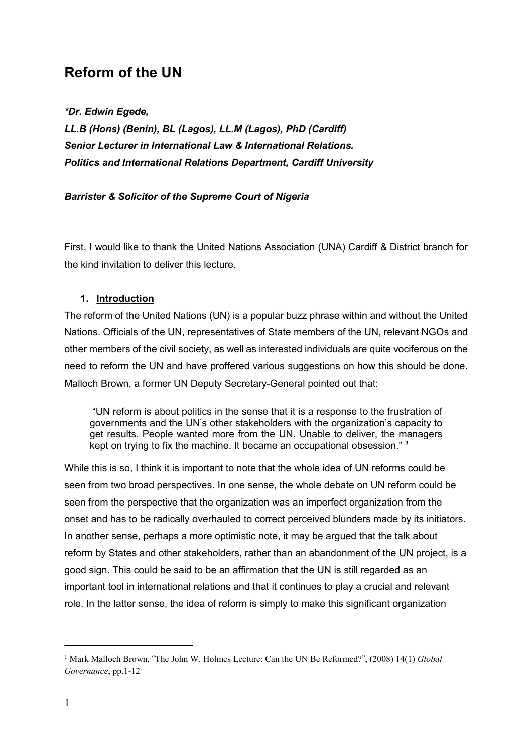# **Reform of the UN**

*\*Dr. Edwin Egede,* 

*LL.B (Hons) (Benin), BL (Lagos), LL.M (Lagos), PhD (Cardiff) Senior Lecturer in International Law & International Relations. Politics and International Relations Department, Cardiff University* 

## *Barrister & Solicitor of the Supreme Court of Nigeria*

First, I would like to thank the United Nations Association (UNA) Cardiff & District branch for the kind invitation to deliver this lecture.

## **1. Introduction**

The reform of the United Nations (UN) is a popular buzz phrase within and without the United Nations. Officials of the UN, representatives of State members of the UN, relevant NGOs and other members of the civil society, as well as interested individuals are quite vociferous on the need to reform the UN and have proffered various suggestions on how this should be done. Malloch Brown, a former UN Deputy Secretary-General pointed out that:

"UN reform is about politics in the sense that it is a response to the frustration of governments and the UN's other stakeholders with the organization's capacity to get results. People wanted more from the UN. Unable to deliver, the managers kept on trying to fix the machine. It became an occupational obsession." *<sup>1</sup>*

While this is so, I think it is important to note that the whole idea of UN reforms could be seen from two broad perspectives. In one sense, the whole debate on UN reform could be seen from the perspective that the organization was an imperfect organization from the onset and has to be radically overhauled to correct perceived blunders made by its initiators. In another sense, perhaps a more optimistic note, it may be argued that the talk about reform by States and other stakeholders, rather than an abandonment of the UN project, is a good sign. This could be said to be an affirmation that the UN is still regarded as an important tool in international relations and that it continues to play a crucial and relevant role. In the latter sense, the idea of reform is simply to make this significant organization

<sup>&</sup>lt;sup>1</sup> Mark Malloch Brown, "The John W. Holmes Lecture: Can the UN Be Reformed?", (2008) 14(1) *Global Governance*, pp.1-12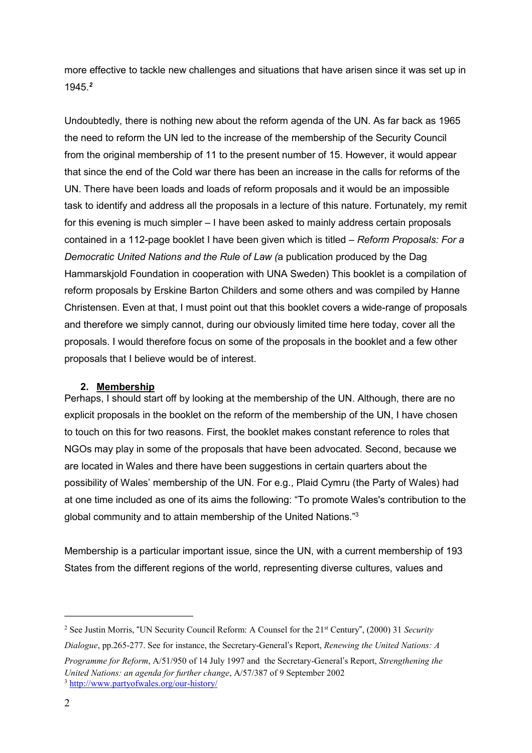more effective to tackle new challenges and situations that have arisen since it was set up in 1945.*<sup>2</sup>*

Undoubtedly, there is nothing new about the reform agenda of the UN. As far back as 1965 the need to reform the UN led to the increase of the membership of the Security Council from the original membership of 11 to the present number of 15. However, it would appear that since the end of the Cold war there has been an increase in the calls for reforms of the UN. There have been loads and loads of reform proposals and it would be an impossible task to identify and address all the proposals in a lecture of this nature. Fortunately, my remit for this evening is much simpler – I have been asked to mainly address certain proposals contained in a 112-page booklet I have been given which is titled – *Reform Proposals: For a Democratic United Nations and the Rule of Law (*a publication produced by the Dag Hammarskjold Foundation in cooperation with UNA Sweden) This booklet is a compilation of reform proposals by Erskine Barton Childers and some others and was compiled by Hanne Christensen. Even at that, I must point out that this booklet covers a wide-range of proposals and therefore we simply cannot, during our obviously limited time here today, cover all the proposals. I would therefore focus on some of the proposals in the booklet and a few other proposals that I believe would be of interest.

## **2. Membership**

Perhaps, I should start off by looking at the membership of the UN. Although, there are no explicit proposals in the booklet on the reform of the membership of the UN, I have chosen to touch on this for two reasons. First, the booklet makes constant reference to roles that NGOs may play in some of the proposals that have been advocated. Second, because we are located in Wales and there have been suggestions in certain quarters about the possibility of Wales' membership of the UN. For e.g., Plaid Cymru (the Party of Wales) had at one time included as one of its aims the following: "To promote Wales's contribution to the global community and to attain membership of the United Nations."<sup>3</sup>

Membership is a particular important issue, since the UN, with a current membership of 193 States from the different regions of the world, representing diverse cultures, values and

<sup>&</sup>lt;sup>2</sup> See Justin Morris, "UN Security Council Reform: A Counsel for the 21<sup>st</sup> Century", (2000) 31 *Security* 

*Dialogue*, pp.265-277. See for instance, the Secretary-General's Report, *Renewing the United Nations: A* 

*Programme for Reform*, A/51/950 of 14 July 1997 and the Secretary-General's Report, *Strengthening the United Nations: an agenda for further change*, A/57/387 of 9 September 2002<sup>3</sup> <http://www.partyofwales.org/our-history/>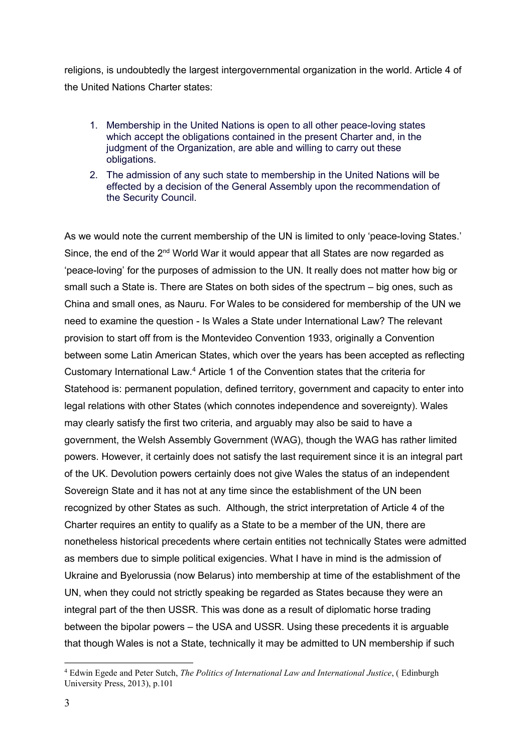religions, is undoubtedly the largest intergovernmental organization in the world. Article 4 of the United Nations Charter states:

- 1. Membership in the United Nations is open to all other peace-loving states which accept the obligations contained in the present Charter and, in the judgment of the Organization, are able and willing to carry out these obligations.
- 2. The admission of any such state to membership in the United Nations will be effected by a decision of the General Assembly upon the recommendation of the Security Council.

As we would note the current membership of the UN is limited to only 'peace-loving States.' Since, the end of the  $2<sup>nd</sup>$  World War it would appear that all States are now regarded as 'peace-loving' for the purposes of admission to the UN. It really does not matter how big or small such a State is. There are States on both sides of the spectrum – big ones, such as China and small ones, as Nauru. For Wales to be considered for membership of the UN we need to examine the question - Is Wales a State under International Law? The relevant provision to start off from is the Montevideo Convention 1933, originally a Convention between some Latin American States, which over the years has been accepted as reflecting Customary International Law.4 Article 1 of the Convention states that the criteria for Statehood is: permanent population, defined territory, government and capacity to enter into legal relations with other States (which connotes independence and sovereignty). Wales may clearly satisfy the first two criteria, and arguably may also be said to have a government, the Welsh Assembly Government (WAG), though the WAG has rather limited powers. However, it certainly does not satisfy the last requirement since it is an integral part of the UK. Devolution powers certainly does not give Wales the status of an independent Sovereign State and it has not at any time since the establishment of the UN been recognized by other States as such. Although, the strict interpretation of Article 4 of the Charter requires an entity to qualify as a State to be a member of the UN, there are nonetheless historical precedents where certain entities not technically States were admitted as members due to simple political exigencies. What I have in mind is the admission of Ukraine and Byelorussia (now Belarus) into membership at time of the establishment of the UN, when they could not strictly speaking be regarded as States because they were an integral part of the then USSR. This was done as a result of diplomatic horse trading between the bipolar powers – the USA and USSR. Using these precedents it is arguable that though Wales is not a State, technically it may be admitted to UN membership if such

<sup>4</sup> Edwin Egede and Peter Sutch, *The Politics of International Law and International Justice*, ( Edinburgh University Press, 2013), p.101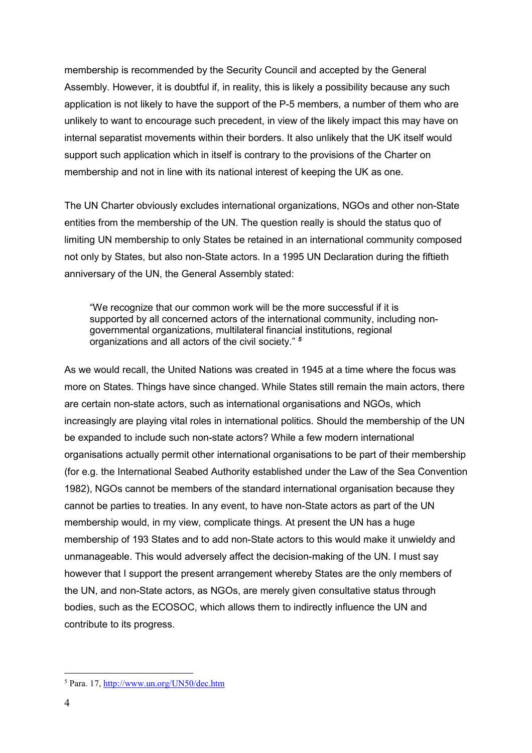membership is recommended by the Security Council and accepted by the General Assembly. However, it is doubtful if, in reality, this is likely a possibility because any such application is not likely to have the support of the P-5 members, a number of them who are unlikely to want to encourage such precedent, in view of the likely impact this may have on internal separatist movements within their borders. It also unlikely that the UK itself would support such application which in itself is contrary to the provisions of the Charter on membership and not in line with its national interest of keeping the UK as one.

The UN Charter obviously excludes international organizations, NGOs and other non-State entities from the membership of the UN. The question really is should the status quo of limiting UN membership to only States be retained in an international community composed not only by States, but also non-State actors. In a 1995 UN Declaration during the fiftieth anniversary of the UN, the General Assembly stated:

"We recognize that our common work will be the more successful if it is supported by all concerned actors of the international community, including nongovernmental organizations, multilateral financial institutions, regional organizations and all actors of the civil society." *<sup>5</sup>*

As we would recall, the United Nations was created in 1945 at a time where the focus was more on States. Things have since changed. While States still remain the main actors, there are certain non-state actors, such as international organisations and NGOs, which increasingly are playing vital roles in international politics. Should the membership of the UN be expanded to include such non-state actors? While a few modern international organisations actually permit other international organisations to be part of their membership (for e.g. the International Seabed Authority established under the Law of the Sea Convention 1982), NGOs cannot be members of the standard international organisation because they cannot be parties to treaties. In any event, to have non-State actors as part of the UN membership would, in my view, complicate things. At present the UN has a huge membership of 193 States and to add non-State actors to this would make it unwieldy and unmanageable. This would adversely affect the decision-making of the UN. I must say however that I support the present arrangement whereby States are the only members of the UN, and non-State actors, as NGOs, are merely given consultative status through bodies, such as the ECOSOC, which allows them to indirectly influence the UN and contribute to its progress.

<sup>5</sup> Para. 17, <http://www.un.org/UN50/dec.htm>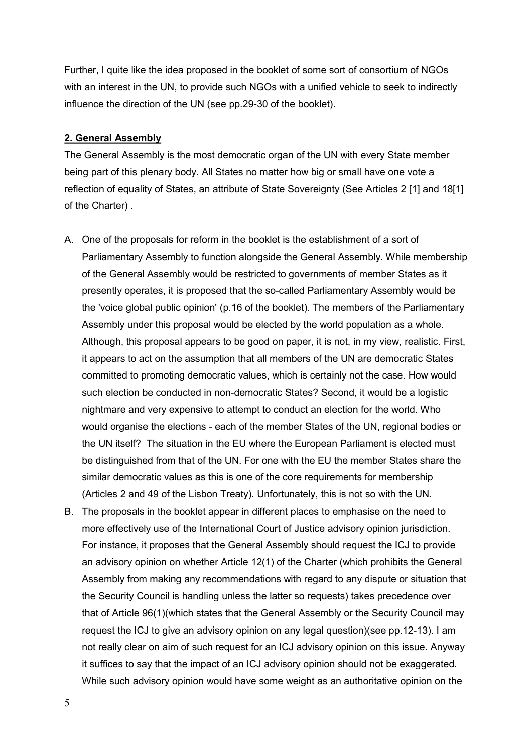Further, I quite like the idea proposed in the booklet of some sort of consortium of NGOs with an interest in the UN, to provide such NGOs with a unified vehicle to seek to indirectly influence the direction of the UN (see pp.29-30 of the booklet).

#### **2. General Assembly**

The General Assembly is the most democratic organ of the UN with every State member being part of this plenary body. All States no matter how big or small have one vote a reflection of equality of States, an attribute of State Sovereignty (See Articles 2 [1] and 18[1] of the Charter) .

- A. One of the proposals for reform in the booklet is the establishment of a sort of Parliamentary Assembly to function alongside the General Assembly. While membership of the General Assembly would be restricted to governments of member States as it presently operates, it is proposed that the so-called Parliamentary Assembly would be the 'voice global public opinion' (p.16 of the booklet). The members of the Parliamentary Assembly under this proposal would be elected by the world population as a whole. Although, this proposal appears to be good on paper, it is not, in my view, realistic. First, it appears to act on the assumption that all members of the UN are democratic States committed to promoting democratic values, which is certainly not the case. How would such election be conducted in non-democratic States? Second, it would be a logistic nightmare and very expensive to attempt to conduct an election for the world. Who would organise the elections - each of the member States of the UN, regional bodies or the UN itself? The situation in the EU where the European Parliament is elected must be distinguished from that of the UN. For one with the EU the member States share the similar democratic values as this is one of the core requirements for membership (Articles 2 and 49 of the Lisbon Treaty). Unfortunately, this is not so with the UN.
- B. The proposals in the booklet appear in different places to emphasise on the need to more effectively use of the International Court of Justice advisory opinion jurisdiction. For instance, it proposes that the General Assembly should request the ICJ to provide an advisory opinion on whether Article 12(1) of the Charter (which prohibits the General Assembly from making any recommendations with regard to any dispute or situation that the Security Council is handling unless the latter so requests) takes precedence over that of Article 96(1)(which states that the General Assembly or the Security Council may request the ICJ to give an advisory opinion on any legal question)(see pp.12-13). I am not really clear on aim of such request for an ICJ advisory opinion on this issue. Anyway it suffices to say that the impact of an ICJ advisory opinion should not be exaggerated. While such advisory opinion would have some weight as an authoritative opinion on the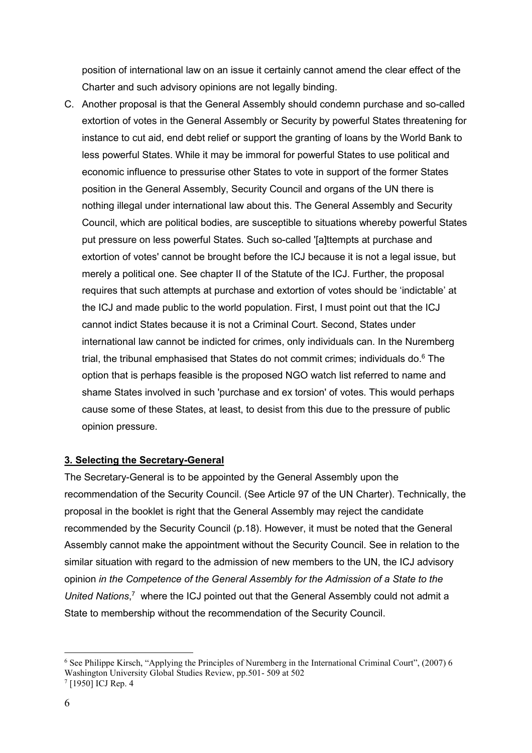position of international law on an issue it certainly cannot amend the clear effect of the Charter and such advisory opinions are not legally binding.

C. Another proposal is that the General Assembly should condemn purchase and so-called extortion of votes in the General Assembly or Security by powerful States threatening for instance to cut aid, end debt relief or support the granting of loans by the World Bank to less powerful States. While it may be immoral for powerful States to use political and economic influence to pressurise other States to vote in support of the former States position in the General Assembly, Security Council and organs of the UN there is nothing illegal under international law about this. The General Assembly and Security Council, which are political bodies, are susceptible to situations whereby powerful States put pressure on less powerful States. Such so-called '[a]ttempts at purchase and extortion of votes' cannot be brought before the ICJ because it is not a legal issue, but merely a political one. See chapter II of the Statute of the ICJ. Further, the proposal requires that such attempts at purchase and extortion of votes should be 'indictable' at the ICJ and made public to the world population. First, I must point out that the ICJ cannot indict States because it is not a Criminal Court. Second, States under international law cannot be indicted for crimes, only individuals can. In the Nuremberg trial, the tribunal emphasised that States do not commit crimes; individuals do. <sup>6</sup> The option that is perhaps feasible is the proposed NGO watch list referred to name and shame States involved in such 'purchase and ex torsion' of votes. This would perhaps cause some of these States, at least, to desist from this due to the pressure of public opinion pressure.

#### **3. Selecting the Secretary-General**

The Secretary-General is to be appointed by the General Assembly upon the recommendation of the Security Council. (See Article 97 of the UN Charter). Technically, the proposal in the booklet is right that the General Assembly may reject the candidate recommended by the Security Council (p.18). However, it must be noted that the General Assembly cannot make the appointment without the Security Council. See in relation to the similar situation with regard to the admission of new members to the UN, the ICJ advisory opinion *in the Competence of the General Assembly for the Admission of a State to the*  United Nations,<sup>7</sup> where the ICJ pointed out that the General Assembly could not admit a State to membership without the recommendation of the Security Council.

<sup>6</sup> See Philippe Kirsch, "Applying the Principles of Nuremberg in the International Criminal Court", (2007) 6 Washington University Global Studies Review, pp.501- 509 at 502

 $7$  [1950] ICJ Rep. 4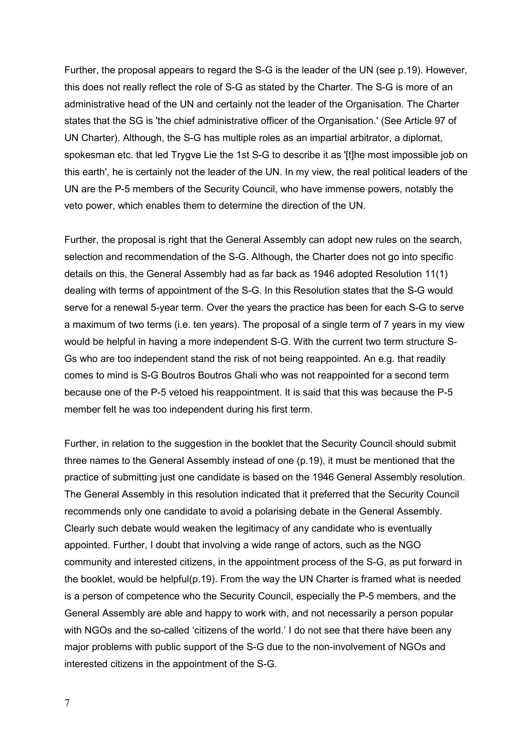Further, the proposal appears to regard the S-G is the leader of the UN (see p.19). However, this does not really reflect the role of S-G as stated by the Charter. The S-G is more of an administrative head of the UN and certainly not the leader of the Organisation. The Charter states that the SG is 'the chief administrative officer of the Organisation.' (See Article 97 of UN Charter). Although, the S-G has multiple roles as an impartial arbitrator, a diplomat, spokesman etc. that led Trygve Lie the 1st S-G to describe it as '[t]he most impossible job on this earth', he is certainly not the leader of the UN. In my view, the real political leaders of the UN are the P-5 members of the Security Council, who have immense powers, notably the veto power, which enables them to determine the direction of the UN.

Further, the proposal is right that the General Assembly can adopt new rules on the search, selection and recommendation of the S-G. Although, the Charter does not go into specific details on this, the General Assembly had as far back as 1946 adopted Resolution 11(1) dealing with terms of appointment of the S-G. In this Resolution states that the S-G would serve for a renewal 5-year term. Over the years the practice has been for each S-G to serve a maximum of two terms (i.e. ten years). The proposal of a single term of 7 years in my view would be helpful in having a more independent S-G. With the current two term structure S-Gs who are too independent stand the risk of not being reappointed. An e.g. that readily comes to mind is S-G Boutros Boutros Ghali who was not reappointed for a second term because one of the P-5 vetoed his reappointment. It is said that this was because the P-5 member felt he was too independent during his first term.

Further, in relation to the suggestion in the booklet that the Security Council should submit three names to the General Assembly instead of one (p.19), it must be mentioned that the practice of submitting just one candidate is based on the 1946 General Assembly resolution. The General Assembly in this resolution indicated that it preferred that the Security Council recommends only one candidate to avoid a polarising debate in the General Assembly. Clearly such debate would weaken the legitimacy of any candidate who is eventually appointed. Further, I doubt that involving a wide range of actors, such as the NGO community and interested citizens, in the appointment process of the S-G, as put forward in the booklet, would be helpful(p.19). From the way the UN Charter is framed what is needed is a person of competence who the Security Council, especially the P-5 members, and the General Assembly are able and happy to work with, and not necessarily a person popular with NGOs and the so-called 'citizens of the world.' I do not see that there have been any major problems with public support of the S-G due to the non-involvement of NGOs and interested citizens in the appointment of the S-G.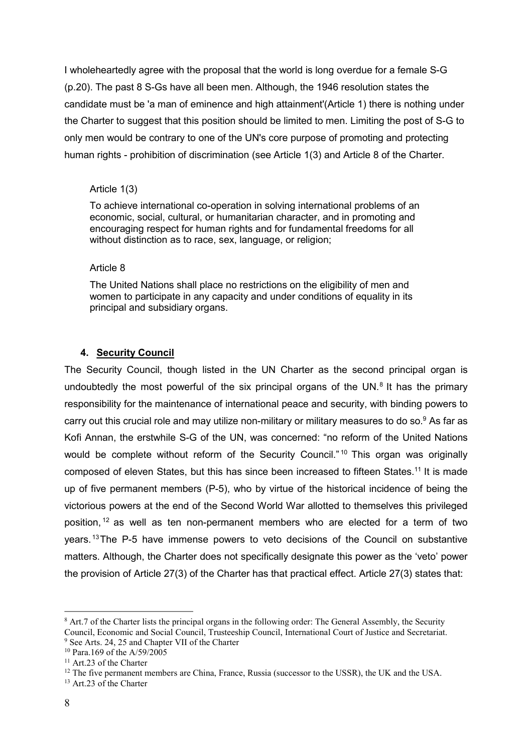I wholeheartedly agree with the proposal that the world is long overdue for a female S-G (p.20). The past 8 S-Gs have all been men. Although, the 1946 resolution states the candidate must be 'a man of eminence and high attainment'(Article 1) there is nothing under the Charter to suggest that this position should be limited to men. Limiting the post of S-G to only men would be contrary to one of the UN's core purpose of promoting and protecting human rights - prohibition of discrimination (see Article 1(3) and Article 8 of the Charter.

#### Article 1(3)

To achieve international co-operation in solving international problems of an economic, social, cultural, or humanitarian character, and in promoting and encouraging respect for human rights and for fundamental freedoms for all without distinction as to race, sex, language, or religion;

#### Article 8

The United Nations shall place no restrictions on the eligibility of men and women to participate in any capacity and under conditions of equality in its principal and subsidiary organs.

#### **4. Security Council**

The Security Council, though listed in the UN Charter as the second principal organ is undoubtedly the most powerful of the six principal organs of the UN. $8$  It has the primary responsibility for the maintenance of international peace and security, with binding powers to carry out this crucial role and may utilize non-military or military measures to do so.<sup>9</sup> As far as Kofi Annan, the erstwhile S-G of the UN, was concerned: "no reform of the United Nations would be complete without reform of the Security Council."<sup>10</sup> This organ was originally composed of eleven States, but this has since been increased to fifteen States.11 It is made up of five permanent members (P-5), who by virtue of the historical incidence of being the victorious powers at the end of the Second World War allotted to themselves this privileged position, 12 as well as ten non-permanent members who are elected for a term of two years. 13The P-5 have immense powers to veto decisions of the Council on substantive matters. Although, the Charter does not specifically designate this power as the 'veto' power the provision of Article 27(3) of the Charter has that practical effect. Article 27(3) states that:

<sup>&</sup>lt;sup>8</sup> Art.7 of the Charter lists the principal organs in the following order: The General Assembly, the Security Council, Economic and Social Council, Trusteeship Council, International Court of Justice and Secretariat. <sup>9</sup> See Arts. 24, 25 and Chapter VII of the Charter

<sup>10</sup> Para.169 of the A/59/2005

<sup>&</sup>lt;sup>11</sup> Art.23 of the Charter

 $12$  The five permanent members are China, France, Russia (successor to the USSR), the UK and the USA.

<sup>&</sup>lt;sup>13</sup> Art. 23 of the Charter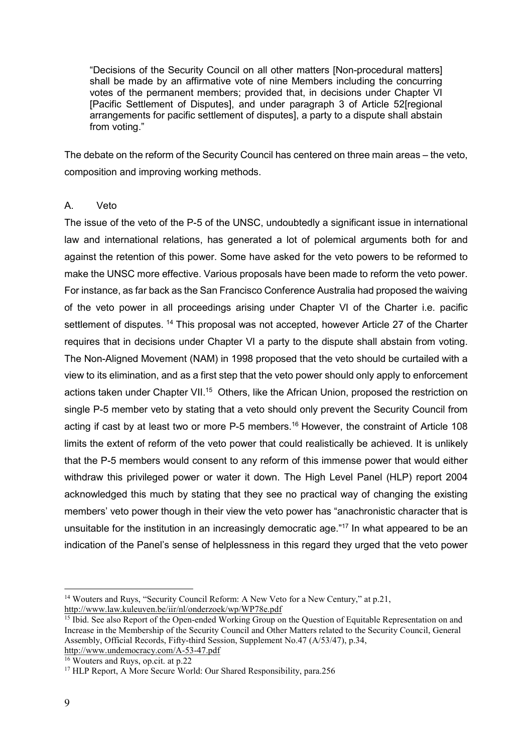"Decisions of the Security Council on all other matters [Non-procedural matters] shall be made by an affirmative vote of nine Members including the concurring votes of the permanent members; provided that, in decisions under Chapter VI [Pacific Settlement of Disputes], and under paragraph 3 of Article 52[regional arrangements for pacific settlement of disputes], a party to a dispute shall abstain from voting."

The debate on the reform of the Security Council has centered on three main areas – the veto, composition and improving working methods.

#### A. Veto

The issue of the veto of the P-5 of the UNSC, undoubtedly a significant issue in international law and international relations, has generated a lot of polemical arguments both for and against the retention of this power. Some have asked for the veto powers to be reformed to make the UNSC more effective. Various proposals have been made to reform the veto power. For instance, as far back as the San Francisco Conference Australia had proposed the waiving of the veto power in all proceedings arising under Chapter VI of the Charter i.e. pacific settlement of disputes.<sup>14</sup> This proposal was not accepted, however Article 27 of the Charter requires that in decisions under Chapter VI a party to the dispute shall abstain from voting. The Non-Aligned Movement (NAM) in 1998 proposed that the veto should be curtailed with a view to its elimination, and as a first step that the veto power should only apply to enforcement actions taken under Chapter VII.<sup>15</sup> Others, like the African Union, proposed the restriction on single P-5 member veto by stating that a veto should only prevent the Security Council from acting if cast by at least two or more P-5 members.<sup>16</sup> However, the constraint of Article 108 limits the extent of reform of the veto power that could realistically be achieved. It is unlikely that the P-5 members would consent to any reform of this immense power that would either withdraw this privileged power or water it down. The High Level Panel (HLP) report 2004 acknowledged this much by stating that they see no practical way of changing the existing members' veto power though in their view the veto power has "anachronistic character that is unsuitable for the institution in an increasingly democratic age."<sup>17</sup> In what appeared to be an indication of the Panel's sense of helplessness in this regard they urged that the veto power

<sup>16</sup> Wouters and Ruys, op.cit. at p.22

<sup>&</sup>lt;sup>14</sup> Wouters and Ruys, "Security Council Reform: A New Veto for a New Century," at p.21, <http://www.law.kuleuven.be/iir/nl/onderzoek/wp/WP78e.pdf>

<sup>&</sup>lt;sup>15</sup> Ibid. See also Report of the Open-ended Working Group on the Question of Equitable Representation on and Increase in the Membership of the Security Council and Other Matters related to the Security Council, General Assembly, Official Records, Fifty-third Session, Supplement No.47 (A/53/47), p.34, <http://www.undemocracy.com/A-53-47.pdf>

<sup>&</sup>lt;sup>17</sup> HLP Report, A More Secure World: Our Shared Responsibility, para.256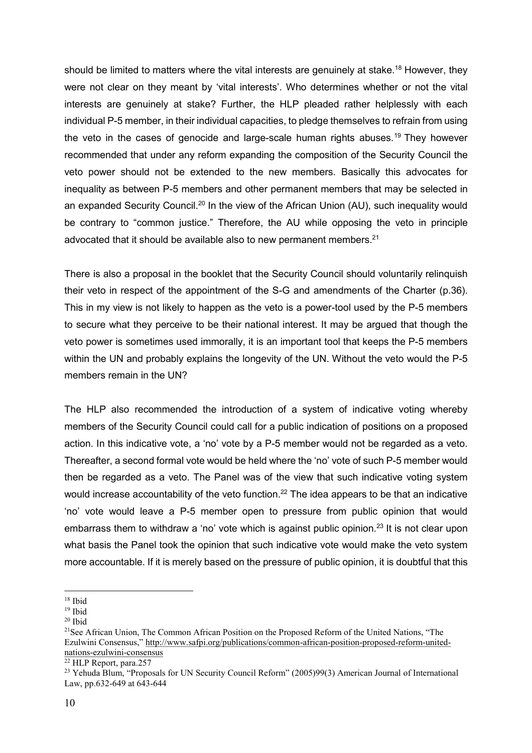should be limited to matters where the vital interests are genuinely at stake.<sup>18</sup> However, they were not clear on they meant by 'vital interests'. Who determines whether or not the vital interests are genuinely at stake? Further, the HLP pleaded rather helplessly with each individual P-5 member, in their individual capacities, to pledge themselves to refrain from using the veto in the cases of genocide and large-scale human rights abuses.<sup>19</sup> They however recommended that under any reform expanding the composition of the Security Council the veto power should not be extended to the new members. Basically this advocates for inequality as between P-5 members and other permanent members that may be selected in an expanded Security Council.<sup>20</sup> In the view of the African Union (AU), such inequality would be contrary to "common justice." Therefore, the AU while opposing the veto in principle advocated that it should be available also to new permanent members.<sup>21</sup>

There is also a proposal in the booklet that the Security Council should voluntarily relinquish their veto in respect of the appointment of the S-G and amendments of the Charter (p.36). This in my view is not likely to happen as the veto is a power-tool used by the P-5 members to secure what they perceive to be their national interest. It may be argued that though the veto power is sometimes used immorally, it is an important tool that keeps the P-5 members within the UN and probably explains the longevity of the UN. Without the veto would the P-5 members remain in the UN?

The HLP also recommended the introduction of a system of indicative voting whereby members of the Security Council could call for a public indication of positions on a proposed action. In this indicative vote, a 'no' vote by a P-5 member would not be regarded as a veto. Thereafter, a second formal vote would be held where the 'no' vote of such P-5 member would then be regarded as a veto. The Panel was of the view that such indicative voting system would increase accountability of the veto function.<sup>22</sup> The idea appears to be that an indicative 'no' vote would leave a P-5 member open to pressure from public opinion that would embarrass them to withdraw a 'no' vote which is against public opinion.<sup>23</sup> It is not clear upon what basis the Panel took the opinion that such indicative vote would make the veto system more accountable. If it is merely based on the pressure of public opinion, it is doubtful that this

<sup>18</sup> Ibid

 $19$  Ibid

<sup>20</sup> Ibid

<sup>&</sup>lt;sup>21</sup>See African Union, The Common African Position on the Proposed Reform of the United Nations, "The Ezulwini Consensus," [http://www.safpi.org/publications/common-african-position-proposed-reform-united](http://www.safpi.org/publications/common-african-position-proposed-reform-united-nations-ezulwini-consensus)[nations-ezulwini-consensus](http://www.safpi.org/publications/common-african-position-proposed-reform-united-nations-ezulwini-consensus)

<sup>22</sup> HLP Report, para.257

<sup>&</sup>lt;sup>23</sup> Yehuda Blum, "Proposals for UN Security Council Reform" (2005)99(3) American Journal of International Law, pp.632-649 at 643-644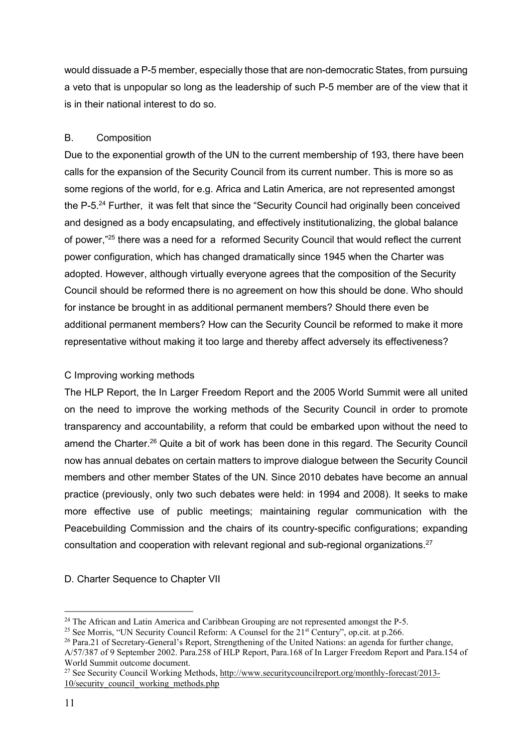would dissuade a P-5 member, especially those that are non-democratic States, from pursuing a veto that is unpopular so long as the leadership of such P-5 member are of the view that it is in their national interest to do so.

# B. Composition

Due to the exponential growth of the UN to the current membership of 193, there have been calls for the expansion of the Security Council from its current number. This is more so as some regions of the world, for e.g. Africa and Latin America, are not represented amongst the P-5.24 Further, it was felt that since the "Security Council had originally been conceived and designed as a body encapsulating, and effectively institutionalizing, the global balance of power,"25 there was a need for a reformed Security Council that would reflect the current power configuration, which has changed dramatically since 1945 when the Charter was adopted. However, although virtually everyone agrees that the composition of the Security Council should be reformed there is no agreement on how this should be done. Who should for instance be brought in as additional permanent members? Should there even be additional permanent members? How can the Security Council be reformed to make it more representative without making it too large and thereby affect adversely its effectiveness?

## C Improving working methods

The HLP Report, the In Larger Freedom Report and the 2005 World Summit were all united on the need to improve the working methods of the Security Council in order to promote transparency and accountability, a reform that could be embarked upon without the need to amend the Charter.<sup>26</sup> Quite a bit of work has been done in this regard. The Security Council now has annual debates on certain matters to improve dialogue between the Security Council members and other member States of the UN. Since 2010 debates have become an annual practice (previously, only two such debates were held: in 1994 and 2008). It seeks to make more effective use of public meetings; maintaining regular communication with the Peacebuilding Commission and the chairs of its country-specific configurations; expanding consultation and cooperation with relevant regional and sub-regional organizations.<sup>27</sup>

# D. Charter Sequence to Chapter VII

<sup>&</sup>lt;sup>24</sup> The African and Latin America and Caribbean Grouping are not represented amongst the P-5.<br><sup>25</sup> See Morris, "UN Security Council Reform: A Counsel for the  $21<sup>st</sup>$  Century", op.cit. at p.266.

 $26$  Para.21 of Secretary-General's Report. Strengthening of the United Nations: an agenda for further change, A/57/387 of 9 September 2002. Para.258 of HLP Report, Para.168 of In Larger Freedom Report and Para.154 of World Summit outcome document.

<sup>27</sup> See Security Council Working Methods, [http://www.securitycouncilreport.org/monthly-forecast/2013-](http://www.securitycouncilreport.org/monthly-forecast/2013-10/security_council_working_methods.php) [10/security\\_council\\_working\\_methods.php](http://www.securitycouncilreport.org/monthly-forecast/2013-10/security_council_working_methods.php)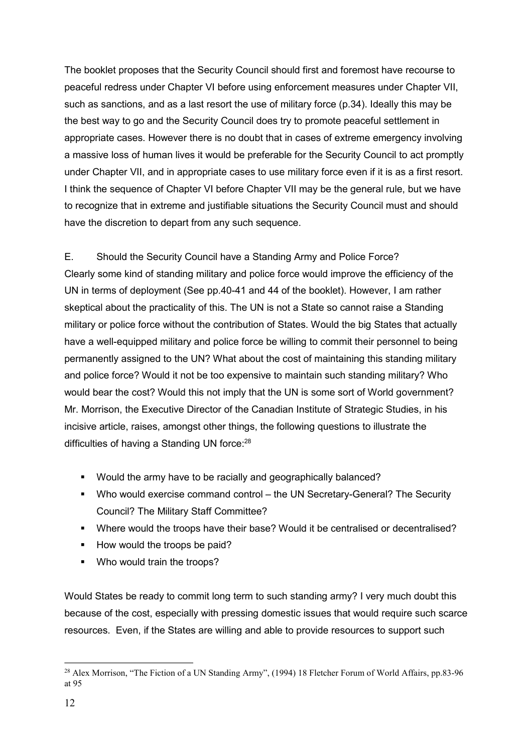The booklet proposes that the Security Council should first and foremost have recourse to peaceful redress under Chapter VI before using enforcement measures under Chapter VII, such as sanctions, and as a last resort the use of military force (p.34). Ideally this may be the best way to go and the Security Council does try to promote peaceful settlement in appropriate cases. However there is no doubt that in cases of extreme emergency involving a massive loss of human lives it would be preferable for the Security Council to act promptly under Chapter VII, and in appropriate cases to use military force even if it is as a first resort. I think the sequence of Chapter VI before Chapter VII may be the general rule, but we have to recognize that in extreme and justifiable situations the Security Council must and should have the discretion to depart from any such sequence.

## E. Should the Security Council have a Standing Army and Police Force?

Clearly some kind of standing military and police force would improve the efficiency of the UN in terms of deployment (See pp.40-41 and 44 of the booklet). However, I am rather skeptical about the practicality of this. The UN is not a State so cannot raise a Standing military or police force without the contribution of States. Would the big States that actually have a well-equipped military and police force be willing to commit their personnel to being permanently assigned to the UN? What about the cost of maintaining this standing military and police force? Would it not be too expensive to maintain such standing military? Who would bear the cost? Would this not imply that the UN is some sort of World government? Mr. Morrison, the Executive Director of the Canadian Institute of Strategic Studies, in his incisive article, raises, amongst other things, the following questions to illustrate the difficulties of having a Standing UN force:<sup>28</sup>

- Would the army have to be racially and geographically balanced?
- Who would exercise command control the UN Secretary-General? The Security Council? The Military Staff Committee?
- Where would the troops have their base? Would it be centralised or decentralised?
- How would the troops be paid?
- **Who would train the troops?**

Would States be ready to commit long term to such standing army? I very much doubt this because of the cost, especially with pressing domestic issues that would require such scarce resources. Even, if the States are willing and able to provide resources to support such

<sup>&</sup>lt;sup>28</sup> Alex Morrison, "The Fiction of a UN Standing Army", (1994) 18 Fletcher Forum of World Affairs, pp.83-96 at 95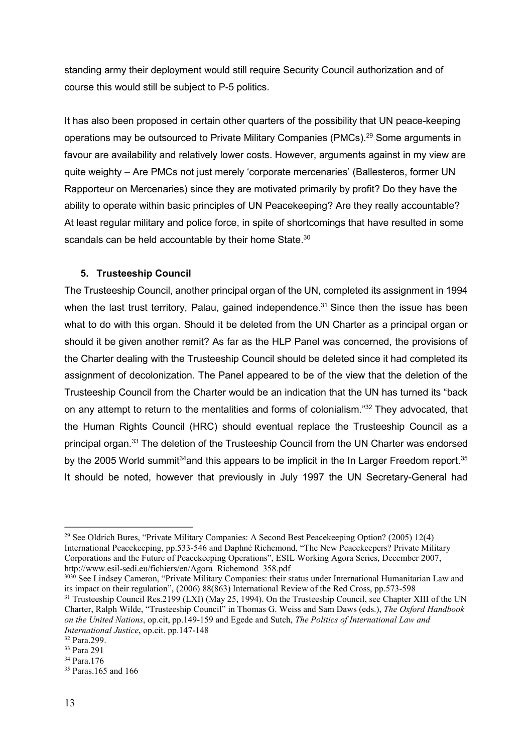standing army their deployment would still require Security Council authorization and of course this would still be subject to P-5 politics.

It has also been proposed in certain other quarters of the possibility that UN peace-keeping operations may be outsourced to Private Military Companies (PMCs).29 Some arguments in favour are availability and relatively lower costs. However, arguments against in my view are quite weighty – Are PMCs not just merely 'corporate mercenaries' (Ballesteros, former UN Rapporteur on Mercenaries) since they are motivated primarily by profit? Do they have the ability to operate within basic principles of UN Peacekeeping? Are they really accountable? At least regular military and police force, in spite of shortcomings that have resulted in some scandals can be held accountable by their home State.<sup>30</sup>

## **5. Trusteeship Council**

The Trusteeship Council, another principal organ of the UN, completed its assignment in 1994 when the last trust territory, Palau, gained independence.<sup>31</sup> Since then the issue has been what to do with this organ. Should it be deleted from the UN Charter as a principal organ or should it be given another remit? As far as the HLP Panel was concerned, the provisions of the Charter dealing with the Trusteeship Council should be deleted since it had completed its assignment of decolonization. The Panel appeared to be of the view that the deletion of the Trusteeship Council from the Charter would be an indication that the UN has turned its "back on any attempt to return to the mentalities and forms of colonialism."32 They advocated, that the Human Rights Council (HRC) should eventual replace the Trusteeship Council as a principal organ.<sup>33</sup> The deletion of the Trusteeship Council from the UN Charter was endorsed by the 2005 World summit<sup>34</sup> and this appears to be implicit in the In Larger Freedom report.<sup>35</sup> It should be noted, however that previously in July 1997 the UN Secretary-General had

<sup>3030</sup> See Lindsey Cameron, "Private Military Companies: their status under International Humanitarian Law and its impact on their regulation", (2006) 88(863) International Review of the Red Cross, pp.573-598

<sup>29</sup> See Oldrich Bures, "Private Military Companies: A Second Best Peacekeeping Option? (2005) 12(4) International Peacekeeping, pp.533-546 and Daphné Richemond, "The New Peacekeepers? Private Military Corporations and the Future of Peacekeeping Operations", ESIL Working Agora Series, December 2007, http://www.esil-sedi.eu/fichiers/en/Agora\_Richemond\_358.pdf

<sup>&</sup>lt;sup>31</sup> Trusteeship Council Res.2199 (LXI) (May 25, 1994). On the Trusteeship Council, see Chapter XIII of the UN Charter, Ralph Wilde, "Trusteeship Council" in Thomas G. Weiss and Sam Daws (eds.), *The Oxford Handbook on the United Nations*, op.cit, pp.149-159 and Egede and Sutch, *The Politics of International Law and International Justice*, op.cit. pp.147-148 32 Para.299.

<sup>33</sup> Para 291

<sup>34</sup> Para.176

<sup>35</sup> Paras.165 and 166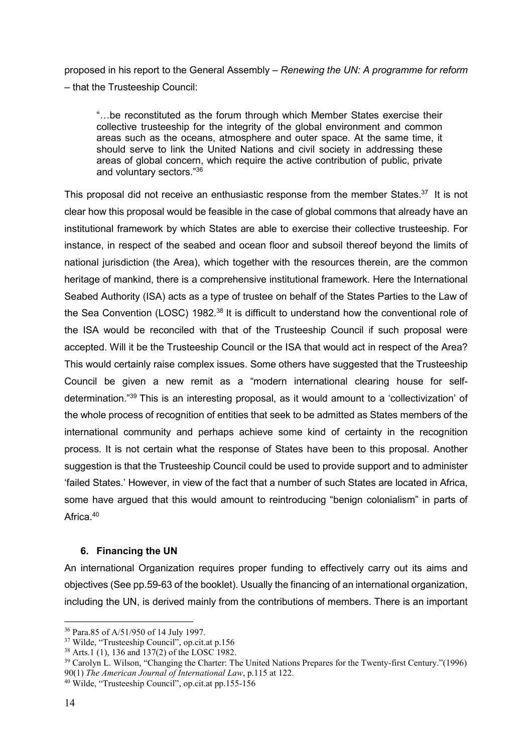proposed in his report to the General Assembly – *Renewing the UN: A programme for reform* – that the Trusteeship Council:

"…be reconstituted as the forum through which Member States exercise their collective trusteeship for the integrity of the global environment and common areas such as the oceans, atmosphere and outer space. At the same time, it should serve to link the United Nations and civil society in addressing these areas of global concern, which require the active contribution of public, private and voluntary sectors."<sup>36</sup>

This proposal did not receive an enthusiastic response from the member States.<sup>37</sup> It is not clear how this proposal would be feasible in the case of global commons that already have an institutional framework by which States are able to exercise their collective trusteeship. For instance, in respect of the seabed and ocean floor and subsoil thereof beyond the limits of national jurisdiction (the Area), which together with the resources therein, are the common heritage of mankind, there is a comprehensive institutional framework. Here the International Seabed Authority (ISA) acts as a type of trustee on behalf of the States Parties to the Law of the Sea Convention (LOSC) 1982.<sup>38</sup> It is difficult to understand how the conventional role of the ISA would be reconciled with that of the Trusteeship Council if such proposal were accepted. Will it be the Trusteeship Council or the ISA that would act in respect of the Area? This would certainly raise complex issues. Some others have suggested that the Trusteeship Council be given a new remit as a "modern international clearing house for selfdetermination."39 This is an interesting proposal, as it would amount to a 'collectivization' of the whole process of recognition of entities that seek to be admitted as States members of the international community and perhaps achieve some kind of certainty in the recognition process. It is not certain what the response of States have been to this proposal. Another suggestion is that the Trusteeship Council could be used to provide support and to administer 'failed States.' However, in view of the fact that a number of such States are located in Africa, some have argued that this would amount to reintroducing "benign colonialism" in parts of Africa<sup>40</sup>

## **6. Financing the UN**

An international Organization requires proper funding to effectively carry out its aims and objectives (See pp.59-63 of the booklet). Usually the financing of an international organization, including the UN, is derived mainly from the contributions of members. There is an important

<sup>36</sup> Para.85 of A/51/950 of 14 July 1997.

<sup>&</sup>lt;sup>37</sup> Wilde, "Trusteeship Council", op.cit.at p.156<br><sup>38</sup> Arts.1 (1), 136 and 137(2) of the LOSC 1982.

<sup>39</sup> Carolyn L. Wilson, "Changing the Charter: The United Nations Prepares for the Twenty-first Century."(1996) 90(1) *The American Journal of International Law*, p.115 at 122. 40 Wilde, "Trusteeship Council", op.cit.at pp.155-156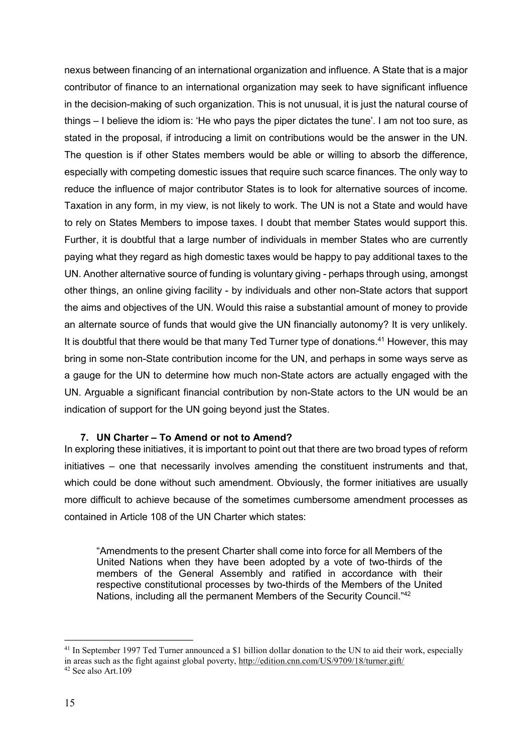nexus between financing of an international organization and influence. A State that is a major contributor of finance to an international organization may seek to have significant influence in the decision-making of such organization. This is not unusual, it is just the natural course of things – I believe the idiom is: 'He who pays the piper dictates the tune'. I am not too sure, as stated in the proposal, if introducing a limit on contributions would be the answer in the UN. The question is if other States members would be able or willing to absorb the difference, especially with competing domestic issues that require such scarce finances. The only way to reduce the influence of major contributor States is to look for alternative sources of income. Taxation in any form, in my view, is not likely to work. The UN is not a State and would have to rely on States Members to impose taxes. I doubt that member States would support this. Further, it is doubtful that a large number of individuals in member States who are currently paying what they regard as high domestic taxes would be happy to pay additional taxes to the UN. Another alternative source of funding is voluntary giving - perhaps through using, amongst other things, an online giving facility - by individuals and other non-State actors that support the aims and objectives of the UN. Would this raise a substantial amount of money to provide an alternate source of funds that would give the UN financially autonomy? It is very unlikely. It is doubtful that there would be that many Ted Turner type of donations.<sup>41</sup> However, this may bring in some non-State contribution income for the UN, and perhaps in some ways serve as a gauge for the UN to determine how much non-State actors are actually engaged with the UN. Arguable a significant financial contribution by non-State actors to the UN would be an indication of support for the UN going beyond just the States.

#### **7. UN Charter – To Amend or not to Amend?**

In exploring these initiatives, it is important to point out that there are two broad types of reform initiatives – one that necessarily involves amending the constituent instruments and that, which could be done without such amendment. Obviously, the former initiatives are usually more difficult to achieve because of the sometimes cumbersome amendment processes as contained in Article 108 of the UN Charter which states:

"Amendments to the present Charter shall come into force for all Members of the United Nations when they have been adopted by a vote of two-thirds of the members of the General Assembly and ratified in accordance with their respective constitutional processes by two-thirds of the Members of the United Nations, including all the permanent Members of the Security Council."<sup>42</sup>

<sup>&</sup>lt;sup>41</sup> In September 1997 Ted Turner announced a \$1 billion dollar donation to the UN to aid their work, especially in areas such as the fight against global poverty, <http://edition.cnn.com/US/9709/18/turner.gift/>  $42$  See also Art 109